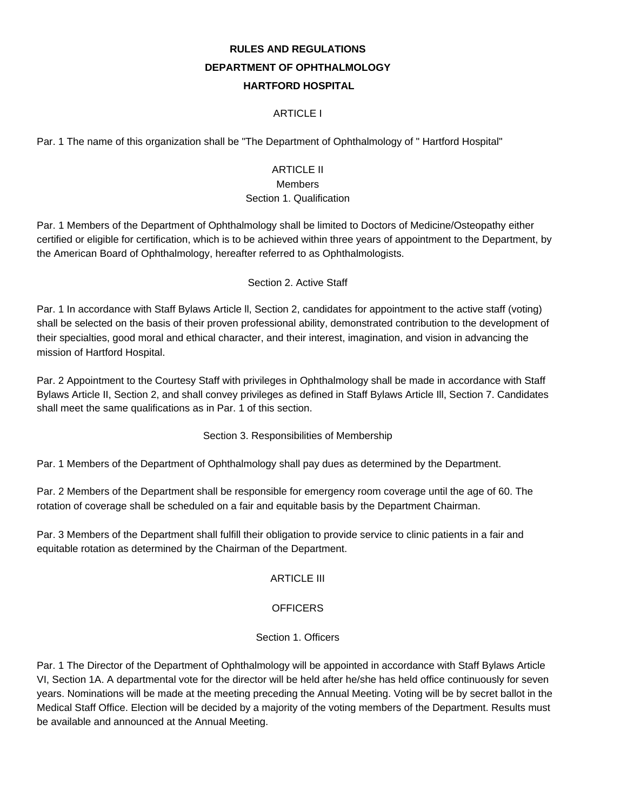# **RULES AND REGULATIONS DEPARTMENT OF OPHTHALMOLOGY HARTFORD HOSPITAL**

#### ARTICLE I

Par. 1 The name of this organization shall be "The Department of Ophthalmology of " Hartford Hospital"

## ARTICLE II

#### Members

#### Section 1. Qualification

Par. 1 Members of the Department of Ophthalmology shall be limited to Doctors of Medicine/Osteopathy either certified or eligible for certification, which is to be achieved within three years of appointment to the Department, by the American Board of Ophthalmology, hereafter referred to as Ophthalmologists.

#### Section 2. Active Staff

Par. 1 In accordance with Staff Bylaws Article ll, Section 2, candidates for appointment to the active staff (voting) shall be selected on the basis of their proven professional ability, demonstrated contribution to the development of their specialties, good moral and ethical character, and their interest, imagination, and vision in advancing the mission of Hartford Hospital.

Par. 2 Appointment to the Courtesy Staff with privileges in Ophthalmology shall be made in accordance with Staff Bylaws Article II, Section 2, and shall convey privileges as defined in Staff Bylaws Article Ill, Section 7. Candidates shall meet the same qualifications as in Par. 1 of this section.

Section 3. Responsibilities of Membership

Par. 1 Members of the Department of Ophthalmology shall pay dues as determined by the Department.

Par. 2 Members of the Department shall be responsible for emergency room coverage until the age of 60. The rotation of coverage shall be scheduled on a fair and equitable basis by the Department Chairman.

Par. 3 Members of the Department shall fulfill their obligation to provide service to clinic patients in a fair and equitable rotation as determined by the Chairman of the Department.

#### ARTICLE III

#### **OFFICERS**

#### Section 1. Officers

Par. 1 The Director of the Department of Ophthalmology will be appointed in accordance with Staff Bylaws Article VI, Section 1A. A departmental vote for the director will be held after he/she has held office continuously for seven years. Nominations will be made at the meeting preceding the Annual Meeting. Voting will be by secret ballot in the Medical Staff Office. Election will be decided by a majority of the voting members of the Department. Results must be available and announced at the Annual Meeting.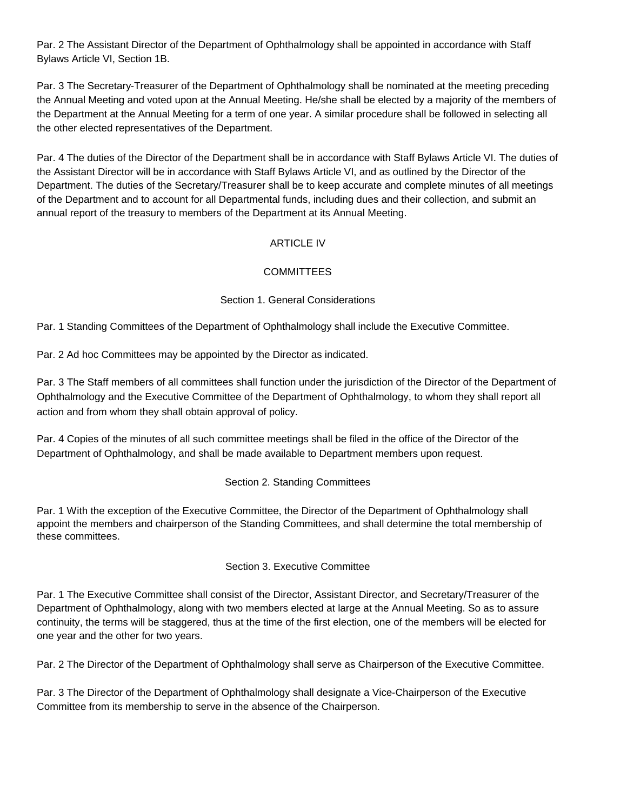Par. 2 The Assistant Director of the Department of Ophthalmology shall be appointed in accordance with Staff Bylaws Article VI, Section 1B.

Par. 3 The Secretary-Treasurer of the Department of Ophthalmology shall be nominated at the meeting preceding the Annual Meeting and voted upon at the Annual Meeting. He/she shall be elected by a majority of the members of the Department at the Annual Meeting for a term of one year. A similar procedure shall be followed in selecting all the other elected representatives of the Department.

Par. 4 The duties of the Director of the Department shall be in accordance with Staff Bylaws Article VI. The duties of the Assistant Director will be in accordance with Staff Bylaws Article VI, and as outlined by the Director of the Department. The duties of the Secretary/Treasurer shall be to keep accurate and complete minutes of all meetings of the Department and to account for all Departmental funds, including dues and their collection, and submit an annual report of the treasury to members of the Department at its Annual Meeting.

#### ARTICLE IV

#### **COMMITTEES**

#### Section 1. General Considerations

Par. 1 Standing Committees of the Department of Ophthalmology shall include the Executive Committee.

Par. 2 Ad hoc Committees may be appointed by the Director as indicated.

Par. 3 The Staff members of all committees shall function under the jurisdiction of the Director of the Department of Ophthalmology and the Executive Committee of the Department of Ophthalmology, to whom they shall report all action and from whom they shall obtain approval of policy.

Par. 4 Copies of the minutes of all such committee meetings shall be filed in the office of the Director of the Department of Ophthalmology, and shall be made available to Department members upon request.

#### Section 2. Standing Committees

Par. 1 With the exception of the Executive Committee, the Director of the Department of Ophthalmology shall appoint the members and chairperson of the Standing Committees, and shall determine the total membership of these committees.

#### Section 3. Executive Committee

Par. 1 The Executive Committee shall consist of the Director, Assistant Director, and Secretary/Treasurer of the Department of Ophthalmology, along with two members elected at large at the Annual Meeting. So as to assure continuity, the terms will be staggered, thus at the time of the first election, one of the members will be elected for one year and the other for two years.

Par. 2 The Director of the Department of Ophthalmology shall serve as Chairperson of the Executive Committee.

Par. 3 The Director of the Department of Ophthalmology shall designate a Vice-Chairperson of the Executive Committee from its membership to serve in the absence of the Chairperson.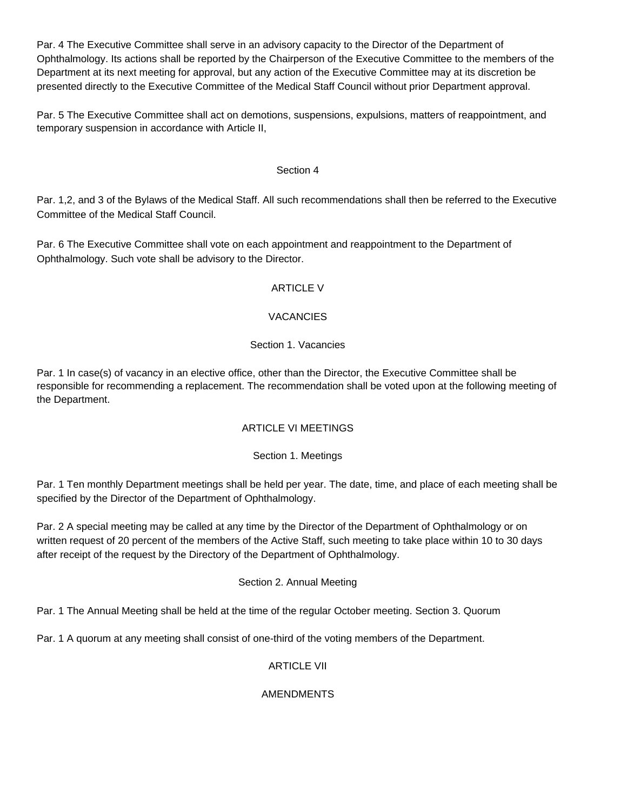Par. 4 The Executive Committee shall serve in an advisory capacity to the Director of the Department of Ophthalmology. Its actions shall be reported by the Chairperson of the Executive Committee to the members of the Department at its next meeting for approval, but any action of the Executive Committee may at its discretion be presented directly to the Executive Committee of the Medical Staff Council without prior Department approval.

Par. 5 The Executive Committee shall act on demotions, suspensions, expulsions, matters of reappointment, and temporary suspension in accordance with Article II,

#### Section 4

Par. 1,2, and 3 of the Bylaws of the Medical Staff. All such recommendations shall then be referred to the Executive Committee of the Medical Staff Council.

Par. 6 The Executive Committee shall vote on each appointment and reappointment to the Department of Ophthalmology. Such vote shall be advisory to the Director.

#### ARTICLE V

#### **VACANCIES**

#### Section 1. Vacancies

Par. 1 In case(s) of vacancy in an elective office, other than the Director, the Executive Committee shall be responsible for recommending a replacement. The recommendation shall be voted upon at the following meeting of the Department.

#### ARTICLE VI MEETINGS

#### Section 1. Meetings

Par. 1 Ten monthly Department meetings shall be held per year. The date, time, and place of each meeting shall be specified by the Director of the Department of Ophthalmology.

Par. 2 A special meeting may be called at any time by the Director of the Department of Ophthalmology or on written request of 20 percent of the members of the Active Staff, such meeting to take place within 10 to 30 days after receipt of the request by the Directory of the Department of Ophthalmology.

#### Section 2. Annual Meeting

Par. 1 The Annual Meeting shall be held at the time of the regular October meeting. Section 3. Quorum

Par. 1 A quorum at any meeting shall consist of one-third of the voting members of the Department.

## ARTICLE VII

#### AMENDMENTS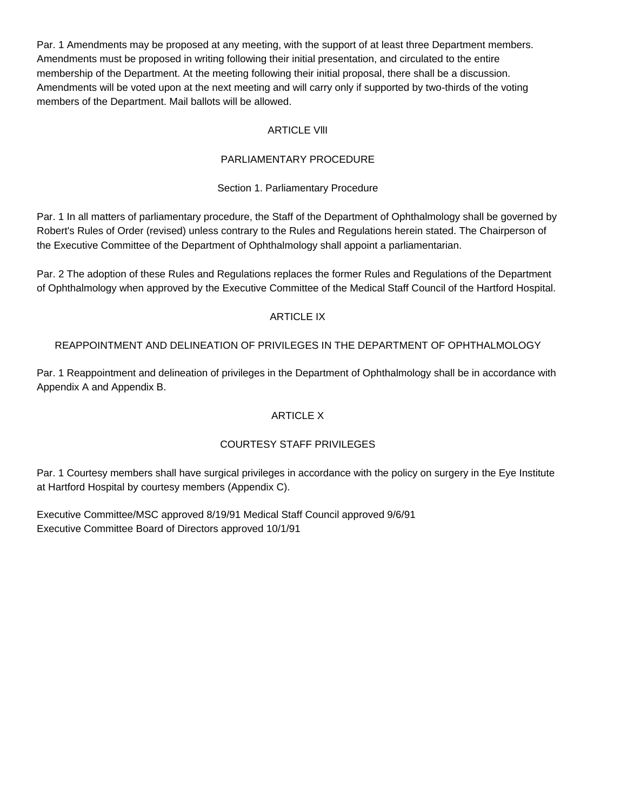Par. 1 Amendments may be proposed at any meeting, with the support of at least three Department members. Amendments must be proposed in writing following their initial presentation, and circulated to the entire membership of the Department. At the meeting following their initial proposal, there shall be a discussion. Amendments will be voted upon at the next meeting and will carry only if supported by two-thirds of the voting members of the Department. Mail ballots will be allowed.

#### **ARTICLE VIII**

#### PARLIAMENTARY PROCEDURE

#### Section 1. Parliamentary Procedure

Par. 1 In all matters of parliamentary procedure, the Staff of the Department of Ophthalmology shall be governed by Robert's Rules of Order (revised) unless contrary to the Rules and Regulations herein stated. The Chairperson of the Executive Committee of the Department of Ophthalmology shall appoint a parliamentarian.

Par. 2 The adoption of these Rules and Regulations replaces the former Rules and Regulations of the Department of Ophthalmology when approved by the Executive Committee of the Medical Staff Council of the Hartford Hospital.

#### ARTICLE IX

#### REAPPOINTMENT AND DELINEATION OF PRIVILEGES IN THE DEPARTMENT OF OPHTHALMOLOGY

Par. 1 Reappointment and delineation of privileges in the Department of Ophthalmology shall be in accordance with Appendix A and Appendix B.

#### ARTICLE X

## COURTESY STAFF PRIVILEGES

Par. 1 Courtesy members shall have surgical privileges in accordance with the policy on surgery in the Eye Institute at Hartford Hospital by courtesy members (Appendix C).

Executive Committee/MSC approved 8/19/91 Medical Staff Council approved 9/6/91 Executive Committee Board of Directors approved 10/1/91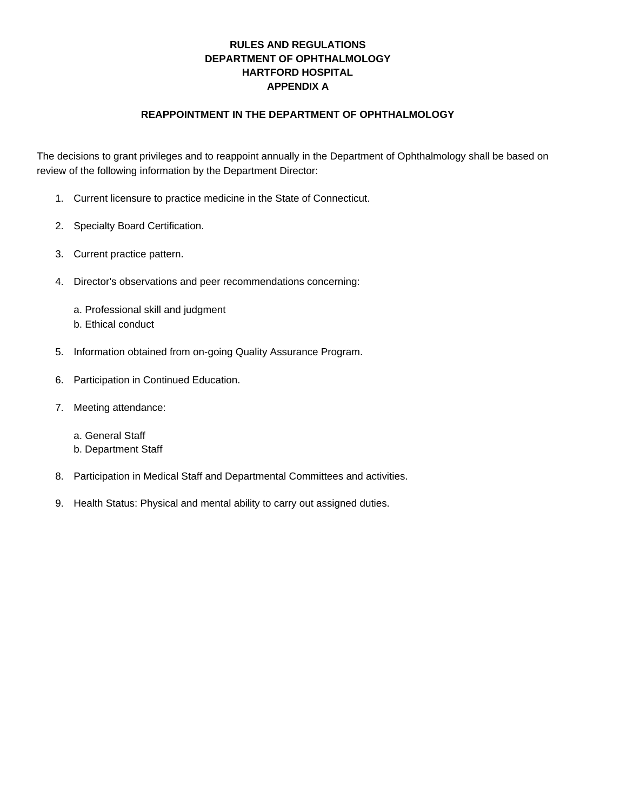## **RULES AND REGULATIONS DEPARTMENT OF OPHTHALMOLOGY HARTFORD HOSPITAL APPENDIX A**

#### **REAPPOINTMENT IN THE DEPARTMENT OF OPHTHALMOLOGY**

The decisions to grant privileges and to reappoint annually in the Department of Ophthalmology shall be based on review of the following information by the Department Director:

- 1. Current licensure to practice medicine in the State of Connecticut.
- 2. Specialty Board Certification.
- 3. Current practice pattern.
- 4. Director's observations and peer recommendations concerning:
	- a. Professional skill and judgment
	- b. Ethical conduct
- 5. Information obtained from on-going Quality Assurance Program.
- 6. Participation in Continued Education.
- 7. Meeting attendance:
	- a. General Staff
	- b. Department Staff
- 8. Participation in Medical Staff and Departmental Committees and activities.
- 9. Health Status: Physical and mental ability to carry out assigned duties.